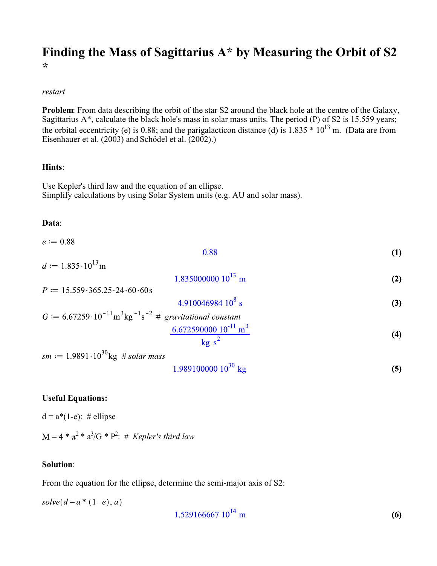# **Finding the Mass of Sagittarius A\* by Measuring the Orbit of S2 \***

#### restart

**Problem**: From data describing the orbit of the star S2 around the black hole at the centre of the Galaxy, Sagittarius A\*, calculate the black hole's mass in solar mass units. The period (P) of S2 is 15.559 years; the orbital eccentricity (e) is 0.88; and the parigalacticon distance (d) is 1.835  $*$  10<sup>13</sup> m. (Data are from Eisenhauer et al. (2003) and Schödel et al. (2002).)

#### **Hints**:

Use Kepler's third law and the equation of an ellipse. Simplify calculations by using Solar System units (e.g. AU and solar mass).

### **Data**:

 $e := 0.88$ 

 $d \coloneqq 1.835 \cdot 10^{13}$  m

$$
0.88 \tag{1}
$$

 $1.83500000010^{13}$  m **(2)**

 $P := 15.559 \cdot 365.25 \cdot 24 \cdot 60 \cdot 60$  s 4.910046984  $10^8$  s **(3)**

$$
G := 6.67259 \cdot 10^{-11} \text{ m}^3 \text{kg}^{-1} \text{s}^{-2} \# gravitational constant
$$
  

$$
\frac{6.672590000 \, 10^{-11} \text{ m}^3}{\text{kg s}^2}
$$
 (4)

 $sm := 1.9891 \cdot 10^{30}$ kg # solar mass

$$
1.989100000 \, 10^{30} \, \text{kg} \tag{5}
$$

## **Useful Equations:**

 $d = a*(1-e): \#$  ellipse

 $2 * a^3/G * P^2$ : # *Kepler's third law* 

### **Solution**:

From the equation for the ellipse, determine the semi-major axis of S2:

 $solve(d = a * (1-e), a)$ 

$$
1.529166667 \, 10^{14} \, \text{m} \tag{6}
$$